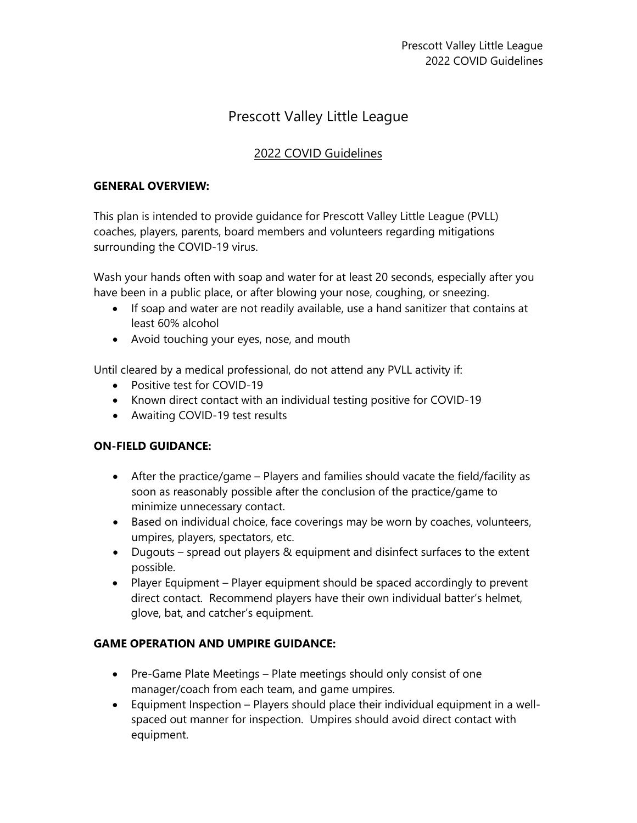# Prescott Valley Little League

## 2022 COVID Guidelines

#### **GENERAL OVERVIEW:**

This plan is intended to provide guidance for Prescott Valley Little League (PVLL) coaches, players, parents, board members and volunteers regarding mitigations surrounding the COVID-19 virus.

Wash your hands often with soap and water for at least 20 seconds, especially after you have been in a public place, or after blowing your nose, coughing, or sneezing.

- If soap and water are not readily available, use a hand sanitizer that contains at least 60% alcohol
- Avoid touching your eyes, nose, and mouth

Until cleared by a medical professional, do not attend any PVLL activity if:

- Positive test for COVID-19
- Known direct contact with an individual testing positive for COVID-19
- Awaiting COVID-19 test results

#### **ON-FIELD GUIDANCE:**

- After the practice/game Players and families should vacate the field/facility as soon as reasonably possible after the conclusion of the practice/game to minimize unnecessary contact.
- Based on individual choice, face coverings may be worn by coaches, volunteers, umpires, players, spectators, etc.
- Dugouts spread out players & equipment and disinfect surfaces to the extent possible.
- Player Equipment Player equipment should be spaced accordingly to prevent direct contact. Recommend players have their own individual batter's helmet, glove, bat, and catcher's equipment.

### **GAME OPERATION AND UMPIRE GUIDANCE:**

- Pre-Game Plate Meetings Plate meetings should only consist of one manager/coach from each team, and game umpires.
- Equipment Inspection Players should place their individual equipment in a wellspaced out manner for inspection. Umpires should avoid direct contact with equipment.